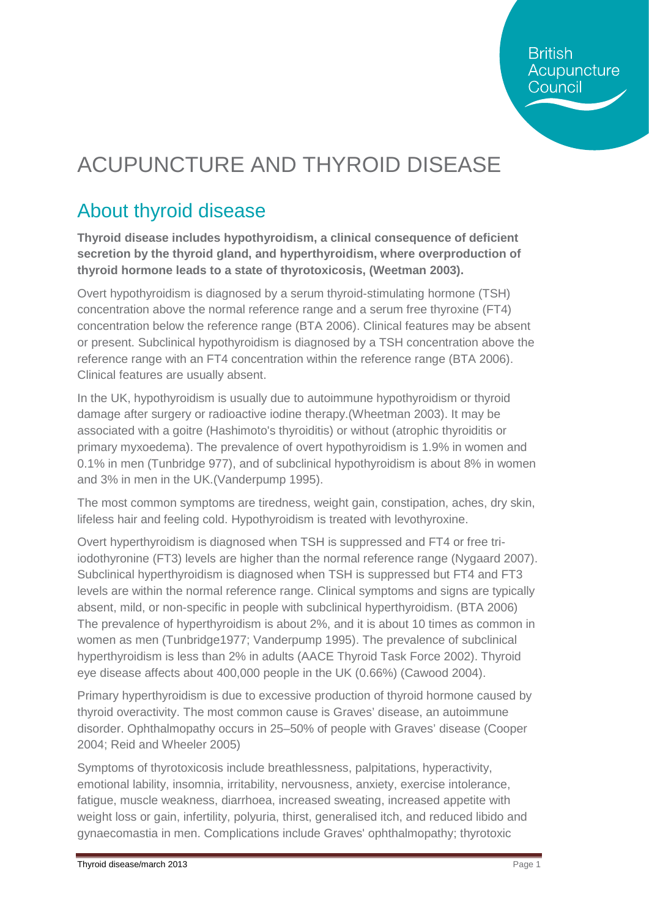# ACUPUNCTURE AND THYROID DISEASE

## About thyroid disease

**Thyroid disease includes hypothyroidism, a clinical consequence of deficient secretion by the thyroid gland, and hyperthyroidism, where overproduction of thyroid hormone leads to a state of thyrotoxicosis, (Weetman 2003).**

Overt hypothyroidism is diagnosed by a serum thyroid-stimulating hormone (TSH) concentration above the normal reference range and a serum free thyroxine (FT4) concentration below the reference range [\(BTA 2006\)](http://www.cks.nhs.uk/hypothyroidism/evidence/references#A24144). Clinical features may be absent or present. Subclinical hypothyroidism is diagnosed by a TSH concentration above the reference range with an FT4 concentration within the reference range [\(BTA 2006\)](http://www.cks.nhs.uk/hypothyroidism/evidence/references#A24144). Clinical features are usually absent.

In the UK, hypothyroidism is usually due to autoimmune hypothyroidism or thyroid damage after surgery or radioactive iodine therapy.(Wheetman 2003). It may be associated with a goitre (Hashimoto's thyroiditis) or without (atrophic thyroiditis or primary myxoedema). The prevalence of overt hypothyroidism is 1.9% in women and 0.1% in men (Tunbridge 977), and of subclinical hypothyroidism is about 8% in women and 3% in men in the UK.(Vanderpump 1995).

The most common symptoms are tiredness, weight gain, constipation, aches, dry skin, lifeless hair and feeling cold. Hypothyroidism is treated with levothyroxine.

Overt hyperthyroidism is diagnosed when TSH is suppressed and FT4 or free triiodothyronine (FT3) levels are higher than the normal reference range (Nygaard 2007). Subclinical hyperthyroidism is diagnosed when TSH is suppressed but FT4 and FT3 levels are within the normal reference range. Clinical symptoms and signs are typically absent, mild, or non-specific in people with subclinical hyperthyroidism. (BTA 2006) The prevalence of hyperthyroidism is about 2%, and it is about 10 times as common in women as men (Tunbridge1977; Vanderpump 1995). The prevalence of subclinical hyperthyroidism is less than 2% in adults (AACE Thyroid Task Force 2002). Thyroid eye disease affects about 400,000 people in the UK (0.66%) (Cawood 2004).

Primary hyperthyroidism is due to excessive production of thyroid hormone caused by thyroid overactivity. The most common cause is Graves' disease, an autoimmune disorder. Ophthalmopathy occurs in 25–50% of people with Graves' disease (Cooper 2004; Reid and Wheeler 2005)

Symptoms of thyrotoxicosis include breathlessness, palpitations, hyperactivity, emotional lability, insomnia, irritability, nervousness, anxiety, exercise intolerance, fatigue, muscle weakness, diarrhoea, increased sweating, increased appetite with weight loss or gain, infertility, polyuria, thirst, generalised itch, and reduced libido and gynaecomastia in men. Complications include Graves' ophthalmopathy; thyrotoxic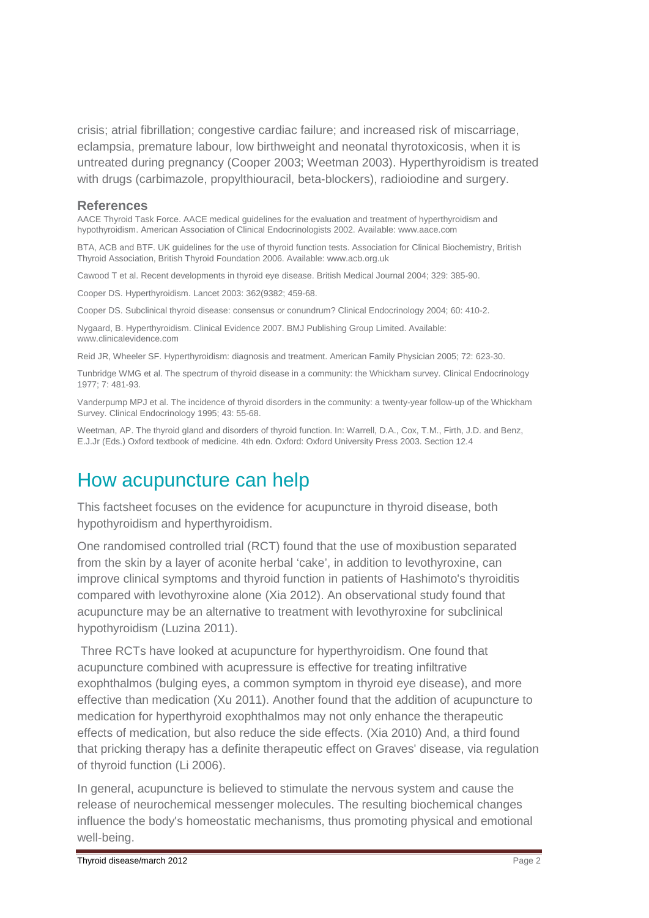crisis; atrial fibrillation; congestive cardiac failure; and increased risk of miscarriage, eclampsia, premature labour, low birthweight and neonatal thyrotoxicosis, when it is untreated during pregnancy (Cooper 2003; Weetman 2003). Hyperthyroidism is treated with drugs (carbimazole, propylthiouracil, beta-blockers), radioiodine and surgery.

#### **References**

AACE Thyroid Task Force. AACE medical guidelines for the evaluation and treatment of hyperthyroidism and hypothyroidism. American Association of Clinical Endocrinologists 2002. Available: [www.aace.com](http://www.aace.com/)

BTA, ACB and BTF. UK guidelines for the use of thyroid function tests. Association for Clinical Biochemistry, British Thyroid Association, British Thyroid Foundation 2006. Available: [www.acb.org.uk](http://www.acb.org.uk/)

Cawood T et al. Recent developments in thyroid eye disease. British Medical Journal 2004; 329: 385-90.

Cooper DS. Hyperthyroidism. Lancet 2003: 362(9382; 459-68.

Cooper DS. Subclinical thyroid disease: consensus or conundrum? Clinical Endocrinology 2004; 60: 410-2.

Nygaard, B. Hyperthyroidism. Clinical Evidence 2007. BMJ Publishing Group Limited. Available: [www.clinicalevidence.com](http://www.clinicalevidence.com/)

Reid JR, Wheeler SF. Hyperthyroidism: diagnosis and treatment. American Family Physician 2005; 72: 623-30.

Tunbridge WMG et al. The spectrum of thyroid disease in a community: the Whickham survey. Clinical Endocrinology 1977; 7: 481-93.

Vanderpump MPJ et al. The incidence of thyroid disorders in the community: a twenty-year follow-up of the Whickham Survey. Clinical Endocrinology 1995; 43: 55-68.

Weetman, AP. The thyroid gland and disorders of thyroid function. In: Warrell, D.A., Cox, T.M., Firth, J.D. and Benz, E.J.Jr (Eds.) Oxford textbook of medicine. 4th edn. Oxford: Oxford University Press 2003. Section 12.4

#### How acupuncture can help

This factsheet focuses on the evidence for acupuncture in thyroid disease, both hypothyroidism and hyperthyroidism.

One randomised controlled trial (RCT) found that the use of moxibustion separated from the skin by a layer of aconite herbal 'cake', in addition to levothyroxine, can improve clinical symptoms and thyroid function in patients of Hashimoto's thyroiditis compared with levothyroxine alone (Xia 2012). An observational study found that acupuncture may be an alternative to treatment with levothyroxine for subclinical hypothyroidism (Luzina 2011).

Three RCTs have looked at acupuncture for hyperthyroidism. One found that acupuncture combined with acupressure is effective for treating infiltrative exophthalmos (bulging eyes, a common symptom in thyroid eye disease), and more effective than medication (Xu 2011). Another found that the addition of acupuncture to medication for hyperthyroid exophthalmos may not only enhance the therapeutic effects of medication, but also reduce the side effects. (Xia 2010) And, a third found that pricking therapy has a definite therapeutic effect on Graves' disease, via regulation of thyroid function (Li 2006).

In general, acupuncture is believed to stimulate the nervous system and cause the release of neurochemical messenger molecules. The resulting biochemical changes influence the body's homeostatic mechanisms, thus promoting physical and emotional well-being.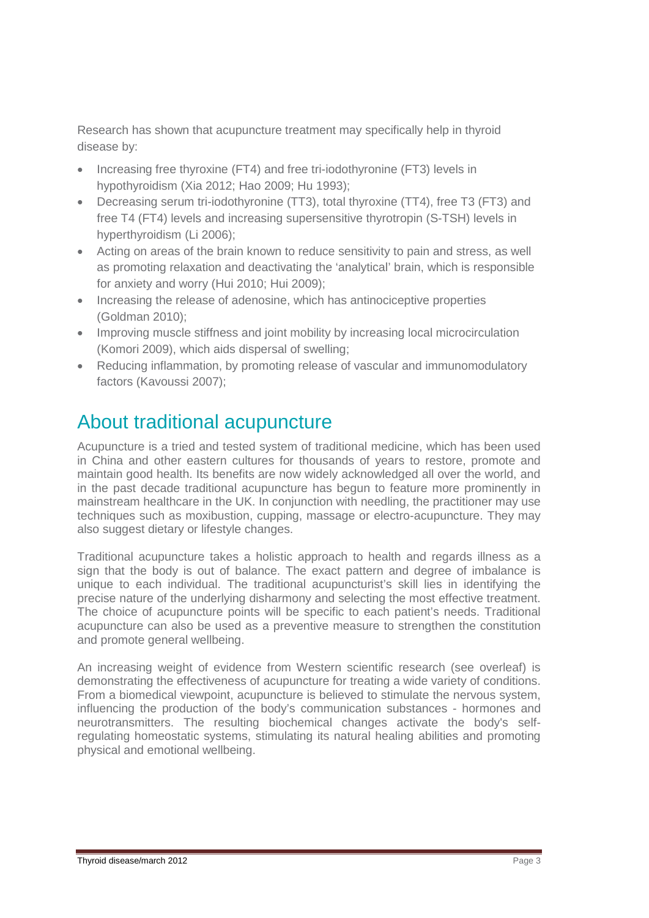Research has shown that acupuncture treatment may specifically help in thyroid disease by:

- Increasing free thyroxine (FT4) and free tri-iodothyronine (FT3) levels in hypothyroidism (Xia 2012; Hao 2009; Hu 1993);
- Decreasing serum tri-iodothyronine (TT3), total thyroxine (TT4), free T3 (FT3) and free T4 (FT4) levels and increasing supersensitive thyrotropin (S-TSH) levels in hyperthyroidism (Li 2006);
- Acting on areas of the brain known to reduce sensitivity to pain and stress, as well as promoting relaxation and deactivating the 'analytical' brain, which is responsible for anxiety and worry (Hui 2010; Hui 2009);
- Increasing the release of adenosine, which has antinociceptive properties (Goldman 2010);
- Improving muscle stiffness and joint mobility by increasing local microcirculation (Komori 2009), which aids dispersal of swelling;
- Reducing inflammation, by promoting release of vascular and immunomodulatory factors (Kavoussi 2007);

## About traditional acupuncture

Acupuncture is a tried and tested system of traditional medicine, which has been used in China and other eastern cultures for thousands of years to restore, promote and maintain good health. Its benefits are now widely acknowledged all over the world, and in the past decade traditional acupuncture has begun to feature more prominently in mainstream healthcare in the UK. In conjunction with needling, the practitioner may use techniques such as moxibustion, cupping, massage or electro-acupuncture. They may also suggest dietary or lifestyle changes.

Traditional acupuncture takes a holistic approach to health and regards illness as a sign that the body is out of balance. The exact pattern and degree of imbalance is unique to each individual. The traditional acupuncturist's skill lies in identifying the precise nature of the underlying disharmony and selecting the most effective treatment. The choice of acupuncture points will be specific to each patient's needs. Traditional acupuncture can also be used as a preventive measure to strengthen the constitution and promote general wellbeing.

An increasing weight of evidence from Western scientific research (see overleaf) is demonstrating the effectiveness of acupuncture for treating a wide variety of conditions. From a biomedical viewpoint, acupuncture is believed to stimulate the nervous system, influencing the production of the body's communication substances - hormones and neurotransmitters. The resulting biochemical changes activate the body's selfregulating homeostatic systems, stimulating its natural healing abilities and promoting physical and emotional wellbeing.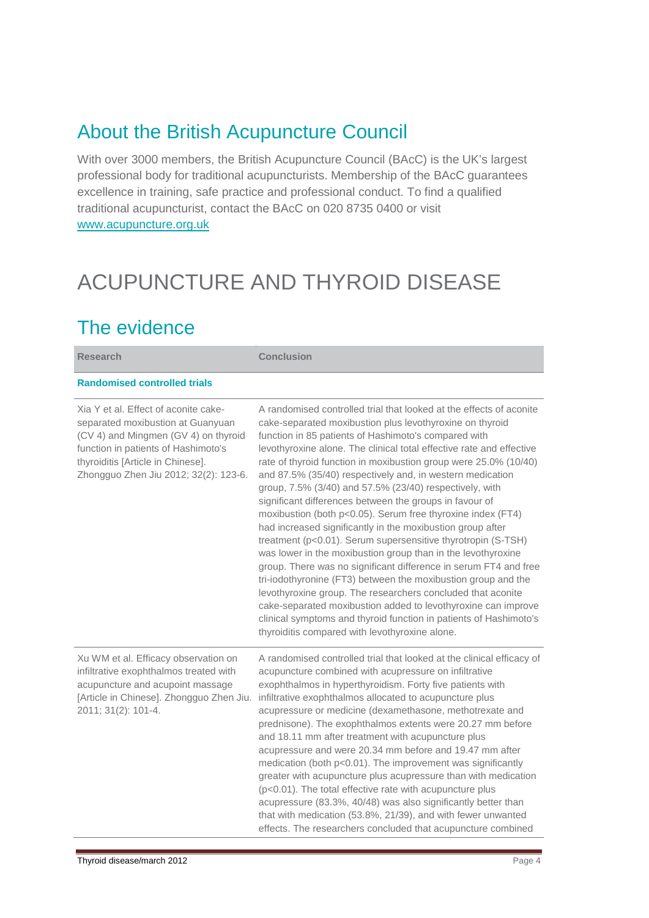#### About the British Acupuncture Council

With over 3000 members, the British Acupuncture Council (BAcC) is the UK's largest professional body for traditional acupuncturists. Membership of the BAcC guarantees excellence in training, safe practice and professional conduct. To find a qualified traditional acupuncturist, contact the BAcC on 020 8735 0400 or visit [www.acupuncture.org.uk](http://www.acupuncture.org.uk/)

# ACUPUNCTURE AND THYROID DISEASE

### The evidence

| <b>Research</b>                                                                                                                                                                                                                        | <b>Conclusion</b>                                                                                                                                                                                                                                                                                                                                                                                                                                                                                                                                                                                                                                                                                                                                                                                                                                                                                                                                                                                                                                                                                                                                                               |
|----------------------------------------------------------------------------------------------------------------------------------------------------------------------------------------------------------------------------------------|---------------------------------------------------------------------------------------------------------------------------------------------------------------------------------------------------------------------------------------------------------------------------------------------------------------------------------------------------------------------------------------------------------------------------------------------------------------------------------------------------------------------------------------------------------------------------------------------------------------------------------------------------------------------------------------------------------------------------------------------------------------------------------------------------------------------------------------------------------------------------------------------------------------------------------------------------------------------------------------------------------------------------------------------------------------------------------------------------------------------------------------------------------------------------------|
| <b>Randomised controlled trials</b>                                                                                                                                                                                                    |                                                                                                                                                                                                                                                                                                                                                                                                                                                                                                                                                                                                                                                                                                                                                                                                                                                                                                                                                                                                                                                                                                                                                                                 |
| Xia Y et al. Effect of aconite cake-<br>separated moxibustion at Guanyuan<br>(CV 4) and Mingmen (GV 4) on thyroid<br>function in patients of Hashimoto's<br>thyroiditis [Article in Chinese].<br>Zhongguo Zhen Jiu 2012; 32(2): 123-6. | A randomised controlled trial that looked at the effects of aconite<br>cake-separated moxibustion plus levothyroxine on thyroid<br>function in 85 patients of Hashimoto's compared with<br>levothyroxine alone. The clinical total effective rate and effective<br>rate of thyroid function in moxibustion group were 25.0% (10/40)<br>and 87.5% (35/40) respectively and, in western medication<br>group, 7.5% (3/40) and 57.5% (23/40) respectively, with<br>significant differences between the groups in favour of<br>moxibustion (both p<0.05). Serum free thyroxine index (FT4)<br>had increased significantly in the moxibustion group after<br>treatment (p<0.01). Serum supersensitive thyrotropin (S-TSH)<br>was lower in the moxibustion group than in the levothyroxine<br>group. There was no significant difference in serum FT4 and free<br>tri-iodothyronine (FT3) between the moxibustion group and the<br>levothyroxine group. The researchers concluded that aconite<br>cake-separated moxibustion added to levothyroxine can improve<br>clinical symptoms and thyroid function in patients of Hashimoto's<br>thyroiditis compared with levothyroxine alone. |
| Xu WM et al. Efficacy observation on<br>infiltrative exophthalmos treated with<br>acupuncture and acupoint massage<br>[Article in Chinese]. Zhongguo Zhen Jiu.<br>2011; 31(2): 101-4.                                                  | A randomised controlled trial that looked at the clinical efficacy of<br>acupuncture combined with acupressure on infiltrative<br>exophthalmos in hyperthyroidism. Forty five patients with<br>infiltrative exophthalmos allocated to acupuncture plus<br>acupressure or medicine (dexamethasone, methotrexate and<br>prednisone). The exophthalmos extents were 20.27 mm before<br>and 18.11 mm after treatment with acupuncture plus<br>acupressure and were 20.34 mm before and 19.47 mm after<br>medication (both p<0.01). The improvement was significantly<br>greater with acupuncture plus acupressure than with medication<br>(p<0.01). The total effective rate with acupuncture plus<br>acupressure (83.3%, 40/48) was also significantly better than<br>that with medication (53.8%, 21/39), and with fewer unwanted<br>effects. The researchers concluded that acupuncture combined                                                                                                                                                                                                                                                                                 |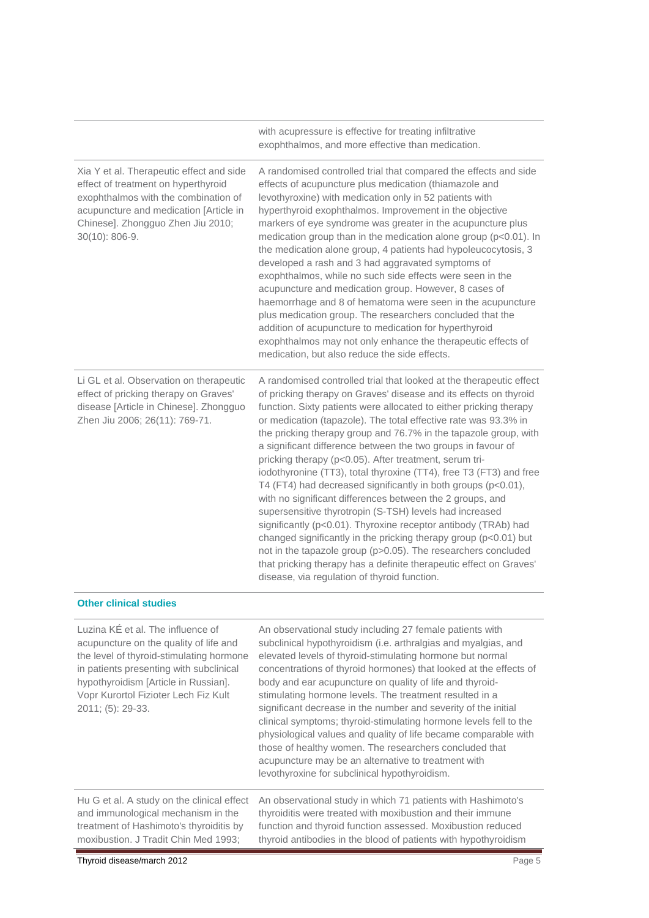|                                                                                                                                                                                                                              | with acupressure is effective for treating infiltrative<br>exophthalmos, and more effective than medication.                                                                                                                                                                                                                                                                                                                                                                                                                                                                                                                                                                                                                                                                                                                                                                                                                                                                                                                                                                |
|------------------------------------------------------------------------------------------------------------------------------------------------------------------------------------------------------------------------------|-----------------------------------------------------------------------------------------------------------------------------------------------------------------------------------------------------------------------------------------------------------------------------------------------------------------------------------------------------------------------------------------------------------------------------------------------------------------------------------------------------------------------------------------------------------------------------------------------------------------------------------------------------------------------------------------------------------------------------------------------------------------------------------------------------------------------------------------------------------------------------------------------------------------------------------------------------------------------------------------------------------------------------------------------------------------------------|
| Xia Y et al. Therapeutic effect and side<br>effect of treatment on hyperthyroid<br>exophthalmos with the combination of<br>acupuncture and medication [Article in<br>Chinese]. Zhongguo Zhen Jiu 2010;<br>$30(10): 806 - 9.$ | A randomised controlled trial that compared the effects and side<br>effects of acupuncture plus medication (thiamazole and<br>levothyroxine) with medication only in 52 patients with<br>hyperthyroid exophthalmos. Improvement in the objective<br>markers of eye syndrome was greater in the acupuncture plus<br>medication group than in the medication alone group (p<0.01). In<br>the medication alone group, 4 patients had hypoleucocytosis, 3<br>developed a rash and 3 had aggravated symptoms of<br>exophthalmos, while no such side effects were seen in the<br>acupuncture and medication group. However, 8 cases of<br>haemorrhage and 8 of hematoma were seen in the acupuncture<br>plus medication group. The researchers concluded that the<br>addition of acupuncture to medication for hyperthyroid<br>exophthalmos may not only enhance the therapeutic effects of<br>medication, but also reduce the side effects.                                                                                                                                      |
| Li GL et al. Observation on therapeutic<br>effect of pricking therapy on Graves'<br>disease [Article in Chinese]. Zhongguo<br>Zhen Jiu 2006; 26(11): 769-71.                                                                 | A randomised controlled trial that looked at the therapeutic effect<br>of pricking therapy on Graves' disease and its effects on thyroid<br>function. Sixty patients were allocated to either pricking therapy<br>or medication (tapazole). The total effective rate was 93.3% in<br>the pricking therapy group and 76.7% in the tapazole group, with<br>a significant difference between the two groups in favour of<br>pricking therapy (p<0.05). After treatment, serum tri-<br>iodothyronine (TT3), total thyroxine (TT4), free T3 (FT3) and free<br>T4 (FT4) had decreased significantly in both groups (p<0.01),<br>with no significant differences between the 2 groups, and<br>supersensitive thyrotropin (S-TSH) levels had increased<br>significantly (p<0.01). Thyroxine receptor antibody (TRAb) had<br>changed significantly in the pricking therapy group (p<0.01) but<br>not in the tapazole group (p>0.05). The researchers concluded<br>that pricking therapy has a definite therapeutic effect on Graves'<br>disease, via regulation of thyroid function. |
| <b>Other clinical studies</b>                                                                                                                                                                                                |                                                                                                                                                                                                                                                                                                                                                                                                                                                                                                                                                                                                                                                                                                                                                                                                                                                                                                                                                                                                                                                                             |

| Luzina KE et al. The influence of<br>acupuncture on the quality of life and<br>the level of thyroid-stimulating hormone<br>in patients presenting with subclinical<br>hypothyroidism [Article in Russian].<br>Vopr Kurortol Fizioter Lech Fiz Kult<br>$2011$ ; (5): 29-33. | An observational study including 27 female patients with<br>subclinical hypothyroidism (i.e. arthralgias and myalgias, and<br>elevated levels of thyroid-stimulating hormone but normal<br>concentrations of thyroid hormones) that looked at the effects of<br>body and ear acupuncture on quality of life and thyroid-<br>stimulating hormone levels. The treatment resulted in a<br>significant decrease in the number and severity of the initial<br>clinical symptoms; thyroid-stimulating hormone levels fell to the<br>physiological values and quality of life became comparable with<br>those of healthy women. The researchers concluded that<br>acupuncture may be an alternative to treatment with<br>levothyroxine for subclinical hypothyroidism. |
|----------------------------------------------------------------------------------------------------------------------------------------------------------------------------------------------------------------------------------------------------------------------------|-----------------------------------------------------------------------------------------------------------------------------------------------------------------------------------------------------------------------------------------------------------------------------------------------------------------------------------------------------------------------------------------------------------------------------------------------------------------------------------------------------------------------------------------------------------------------------------------------------------------------------------------------------------------------------------------------------------------------------------------------------------------|
| Hu G et al. A study on the clinical effect<br>and immunological mechanism in the<br>treatment of Hashimoto's thyroiditis by<br>moxibustion. J Tradit Chin Med 1993;                                                                                                        | An observational study in which 71 patients with Hashimoto's<br>thyroiditis were treated with moxibustion and their immune<br>function and thyroid function assessed. Moxibustion reduced<br>thyroid antibodies in the blood of patients with hypothyroidism                                                                                                                                                                                                                                                                                                                                                                                                                                                                                                    |
| Thyroid disease/march 2012                                                                                                                                                                                                                                                 | Page 5                                                                                                                                                                                                                                                                                                                                                                                                                                                                                                                                                                                                                                                                                                                                                          |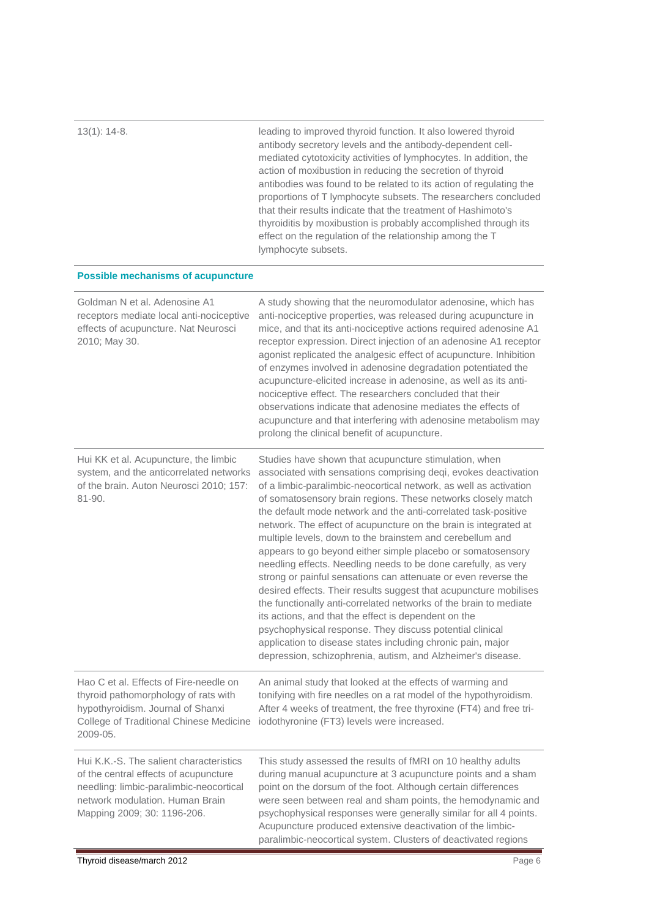| $13(1)$ : 14-8.                                                                                                                                                                               | leading to improved thyroid function. It also lowered thyroid<br>antibody secretory levels and the antibody-dependent cell-<br>mediated cytotoxicity activities of lymphocytes. In addition, the<br>action of moxibustion in reducing the secretion of thyroid<br>antibodies was found to be related to its action of regulating the<br>proportions of T lymphocyte subsets. The researchers concluded<br>that their results indicate that the treatment of Hashimoto's<br>thyroiditis by moxibustion is probably accomplished through its<br>effect on the regulation of the relationship among the T<br>lymphocyte subsets.                                                                                                                                                                                                                                                                                                                                                                                                                                   |  |
|-----------------------------------------------------------------------------------------------------------------------------------------------------------------------------------------------|-----------------------------------------------------------------------------------------------------------------------------------------------------------------------------------------------------------------------------------------------------------------------------------------------------------------------------------------------------------------------------------------------------------------------------------------------------------------------------------------------------------------------------------------------------------------------------------------------------------------------------------------------------------------------------------------------------------------------------------------------------------------------------------------------------------------------------------------------------------------------------------------------------------------------------------------------------------------------------------------------------------------------------------------------------------------|--|
| <b>Possible mechanisms of acupuncture</b>                                                                                                                                                     |                                                                                                                                                                                                                                                                                                                                                                                                                                                                                                                                                                                                                                                                                                                                                                                                                                                                                                                                                                                                                                                                 |  |
| Goldman N et al. Adenosine A1<br>receptors mediate local anti-nociceptive<br>effects of acupuncture. Nat Neurosci<br>2010; May 30.                                                            | A study showing that the neuromodulator adenosine, which has<br>anti-nociceptive properties, was released during acupuncture in<br>mice, and that its anti-nociceptive actions required adenosine A1<br>receptor expression. Direct injection of an adenosine A1 receptor<br>agonist replicated the analgesic effect of acupuncture. Inhibition<br>of enzymes involved in adenosine degradation potentiated the<br>acupuncture-elicited increase in adenosine, as well as its anti-<br>nociceptive effect. The researchers concluded that their<br>observations indicate that adenosine mediates the effects of<br>acupuncture and that interfering with adenosine metabolism may<br>prolong the clinical benefit of acupuncture.                                                                                                                                                                                                                                                                                                                               |  |
| Hui KK et al. Acupuncture, the limbic<br>system, and the anticorrelated networks<br>of the brain. Auton Neurosci 2010; 157:<br>81-90.                                                         | Studies have shown that acupuncture stimulation, when<br>associated with sensations comprising deqi, evokes deactivation<br>of a limbic-paralimbic-neocortical network, as well as activation<br>of somatosensory brain regions. These networks closely match<br>the default mode network and the anti-correlated task-positive<br>network. The effect of acupuncture on the brain is integrated at<br>multiple levels, down to the brainstem and cerebellum and<br>appears to go beyond either simple placebo or somatosensory<br>needling effects. Needling needs to be done carefully, as very<br>strong or painful sensations can attenuate or even reverse the<br>desired effects. Their results suggest that acupuncture mobilises<br>the functionally anti-correlated networks of the brain to mediate<br>its actions, and that the effect is dependent on the<br>psychophysical response. They discuss potential clinical<br>application to disease states including chronic pain, major<br>depression, schizophrenia, autism, and Alzheimer's disease. |  |
| Hao C et al. Effects of Fire-needle on<br>thyroid pathomorphology of rats with<br>hypothyroidism. Journal of Shanxi<br>College of Traditional Chinese Medicine<br>2009-05.                    | An animal study that looked at the effects of warming and<br>tonifying with fire needles on a rat model of the hypothyroidism.<br>After 4 weeks of treatment, the free thyroxine (FT4) and free tri-<br>iodothyronine (FT3) levels were increased.                                                                                                                                                                                                                                                                                                                                                                                                                                                                                                                                                                                                                                                                                                                                                                                                              |  |
| Hui K.K.-S. The salient characteristics<br>of the central effects of acupuncture<br>needling: limbic-paralimbic-neocortical<br>network modulation. Human Brain<br>Mapping 2009; 30: 1196-206. | This study assessed the results of fMRI on 10 healthy adults<br>during manual acupuncture at 3 acupuncture points and a sham<br>point on the dorsum of the foot. Although certain differences<br>were seen between real and sham points, the hemodynamic and<br>psychophysical responses were generally similar for all 4 points.<br>Acupuncture produced extensive deactivation of the limbic-<br>paralimbic-neocortical system. Clusters of deactivated regions                                                                                                                                                                                                                                                                                                                                                                                                                                                                                                                                                                                               |  |